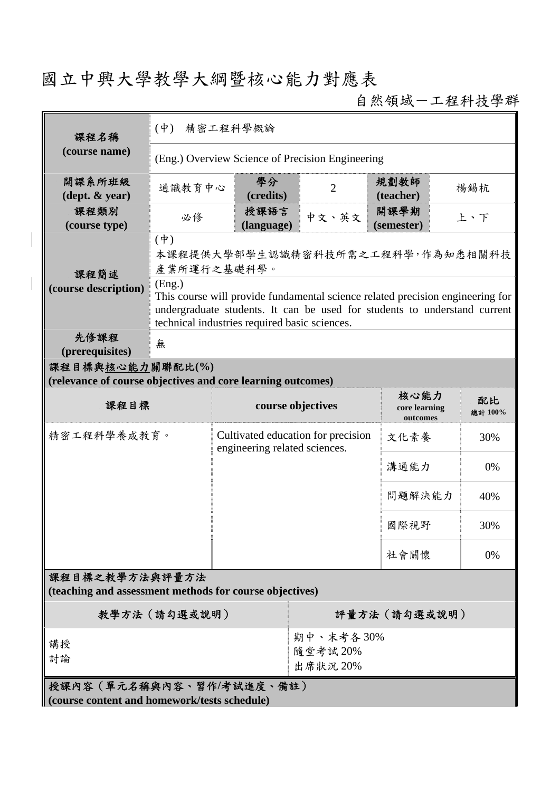# 國立中興大學教學大綱暨核心能力對應表

自然領域-工程科技學群

| 課程名稱                                                                            | (中) 精密工程科學概論                                                                                                                                                                                                 |                                                                     |                                  |  |                                   |    |               |  |
|---------------------------------------------------------------------------------|--------------------------------------------------------------------------------------------------------------------------------------------------------------------------------------------------------------|---------------------------------------------------------------------|----------------------------------|--|-----------------------------------|----|---------------|--|
| (course name)                                                                   | (Eng.) Overview Science of Precision Engineering                                                                                                                                                             |                                                                     |                                  |  |                                   |    |               |  |
| 開課系所班級<br>$(\text{dept.} \& \text{ year})$                                      | 通識教育中心                                                                                                                                                                                                       | 學分<br>(credits)                                                     | $\overline{2}$                   |  | 規劃教師<br>(teacher)                 |    | 楊錫杭           |  |
| 課程類別<br>(course type)                                                           | 必修                                                                                                                                                                                                           | 授課語言<br>(language)                                                  | 中文、英文                            |  | 開課學期<br>(semester)                |    | 上、下           |  |
| 課程簡述<br>(course description)                                                    | $(\dagger)$<br>本課程提供大學部學生認識精密科技所需之工程科學,作為知悉相關科技<br>產業所運行之基礎科學。<br>(Eng.)                                                                                                                                     |                                                                     |                                  |  |                                   |    |               |  |
|                                                                                 | This course will provide fundamental science related precision engineering for<br>undergraduate students. It can be used for students to understand current<br>technical industries required basic sciences. |                                                                     |                                  |  |                                   |    |               |  |
| 先修課程<br>(prerequisites)                                                         | 無                                                                                                                                                                                                            |                                                                     |                                  |  |                                   |    |               |  |
| 課程目標與核心能力關聯配比(%)<br>(relevance of course objectives and core learning outcomes) |                                                                                                                                                                                                              |                                                                     |                                  |  |                                   |    |               |  |
| 課程目標                                                                            |                                                                                                                                                                                                              | course objectives                                                   |                                  |  | 核心能力<br>core learning<br>outcomes |    | 配比<br>總計 100% |  |
| 精密工程科學養成教育。                                                                     |                                                                                                                                                                                                              | Cultivated education for precision<br>engineering related sciences. |                                  |  | 文化素養                              |    | 30%           |  |
|                                                                                 |                                                                                                                                                                                                              |                                                                     |                                  |  | 溝通能力                              |    | 0%            |  |
|                                                                                 |                                                                                                                                                                                                              |                                                                     |                                  |  | 問題解決能力                            |    | 40%           |  |
|                                                                                 |                                                                                                                                                                                                              |                                                                     |                                  |  | 國際視野                              |    | 30%           |  |
|                                                                                 |                                                                                                                                                                                                              |                                                                     |                                  |  |                                   | 0% |               |  |
| 課程目標之教學方法與評量方法<br>(teaching and assessment methods for course objectives)       |                                                                                                                                                                                                              |                                                                     |                                  |  |                                   |    |               |  |
| 教學方法 (請勾選或說明)                                                                   |                                                                                                                                                                                                              |                                                                     | 評量方法(請勾選或說明)                     |  |                                   |    |               |  |
| 講授<br>討論                                                                        |                                                                                                                                                                                                              |                                                                     | 期中、末考各30%<br>隨堂考試20%<br>出席狀況 20% |  |                                   |    |               |  |
| 授課內容(單元名稱與內容、習作/考試進度、備註)<br>(course content and homework/tests schedule)        |                                                                                                                                                                                                              |                                                                     |                                  |  |                                   |    |               |  |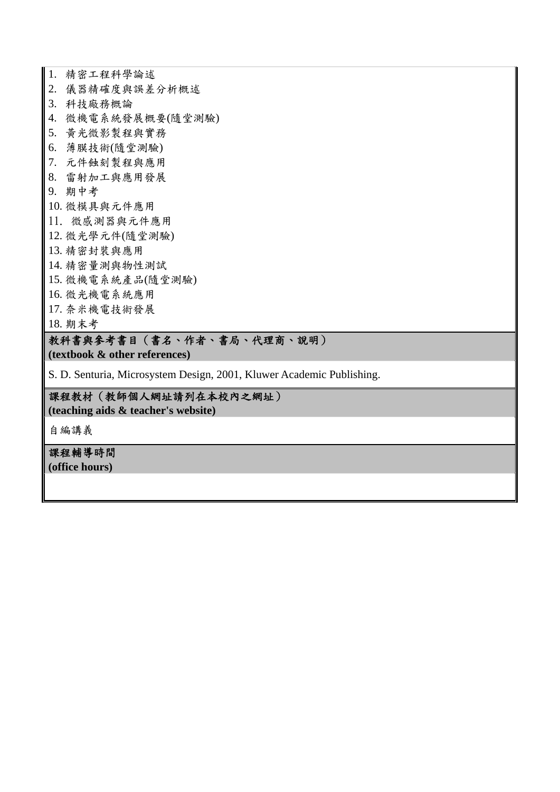1. 精密工程科學論述 2. 儀器精確度與誤差分析概述 3. 科技廠務概論 4. 微機電系統發展概要(隨堂測驗) 5. 黃光微影製程與實務 6. 薄膜技術(隨堂測驗) 7. 元件蝕刻製程與應用 8. 雷射加工與應用發展 9. 期中考 10. 微模具與元件應用 11. 微感測器與元件應用 12. 微光學元件(隨堂測驗) 13. 精密封裝與應用 14. 精密量測與物性測試 15. 微機電系統產品(隨堂測驗) 16. 微光機電系統應用 17. 奈米機電技術發展 18. 期末考

### 教科書與參考書目(書名、作者、書局、代理商、說明)

**(textbook & other references)**

S. D. Senturia, Microsystem Design, 2001, Kluwer Academic Publishing.

#### 課程教材(教師個人網址請列在本校內之網址)

**(teaching aids & teacher's website)** 

自編講義

課程輔導時間 **(office hours)**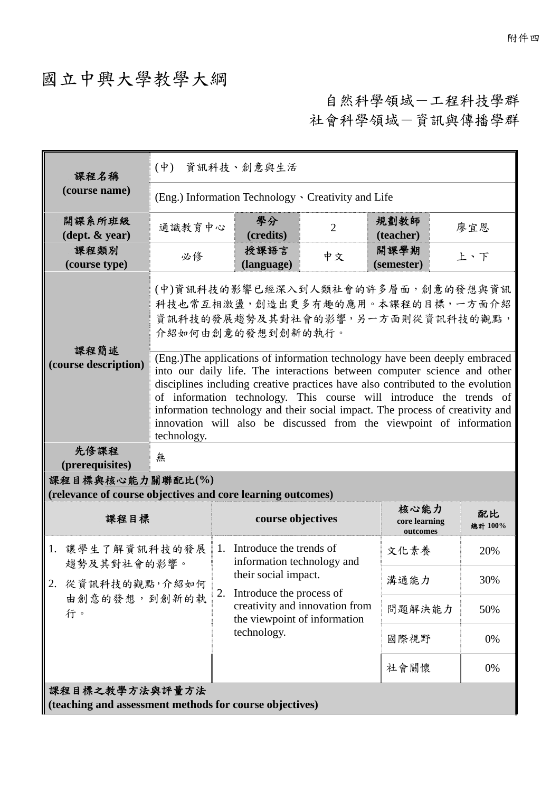## 國立中興大學教學大綱

自然科學領域-工程科技學群 社會科學領域-資訊與傳播學群

| 課程名稱                                                                            | $(\dot{\Psi})$<br>資訊科技、創意與生活                                                                                                                                                                                                                                                                                                                                                                                                                                                                                                                                                                                              |    |                                                          |                                |                                   |  |               |  |
|---------------------------------------------------------------------------------|---------------------------------------------------------------------------------------------------------------------------------------------------------------------------------------------------------------------------------------------------------------------------------------------------------------------------------------------------------------------------------------------------------------------------------------------------------------------------------------------------------------------------------------------------------------------------------------------------------------------------|----|----------------------------------------------------------|--------------------------------|-----------------------------------|--|---------------|--|
| (course name)                                                                   | (Eng.) Information Technology · Creativity and Life                                                                                                                                                                                                                                                                                                                                                                                                                                                                                                                                                                       |    |                                                          |                                |                                   |  |               |  |
| 開課系所班級<br>$(\text{dept.} \& \text{ year})$                                      | 通識教育中心                                                                                                                                                                                                                                                                                                                                                                                                                                                                                                                                                                                                                    |    | 學分<br>(credits)                                          | $\overline{2}$                 | 規劃教師<br>(teacher)                 |  | 廖宜恩           |  |
| 課程類別<br>(course type)                                                           | 必修                                                                                                                                                                                                                                                                                                                                                                                                                                                                                                                                                                                                                        |    | 授課語言<br>(language)                                       | 中文                             | 開課學期<br>(semester)                |  | 上、下           |  |
| 課程簡述<br>(course description)                                                    | (中)資訊科技的影響已經深入到人類社會的許多層面,創意的發想與資訊<br>科技也常互相激盪,創造出更多有趣的應用。本課程的目標,一方面介紹<br>資訊科技的發展趨勢及其對社會的影響,另一方面則從資訊科技的觀點,<br>介紹如何由創意的發想到創新的執行。<br>(Eng.)The applications of information technology have been deeply embraced<br>into our daily life. The interactions between computer science and other<br>disciplines including creative practices have also contributed to the evolution<br>of information technology. This course will introduce the trends of<br>information technology and their social impact. The process of creativity and<br>innovation will also be discussed from the viewpoint of information<br>technology. |    |                                                          |                                |                                   |  |               |  |
| 先修課程<br>(prerequisites)                                                         | 無                                                                                                                                                                                                                                                                                                                                                                                                                                                                                                                                                                                                                         |    |                                                          |                                |                                   |  |               |  |
| 課程目標與核心能力關聯配比(%)<br>(relevance of course objectives and core learning outcomes) |                                                                                                                                                                                                                                                                                                                                                                                                                                                                                                                                                                                                                           |    |                                                          |                                |                                   |  |               |  |
| 課程目標                                                                            |                                                                                                                                                                                                                                                                                                                                                                                                                                                                                                                                                                                                                           |    | course objectives                                        |                                | 核心能力<br>core learning<br>outcomes |  | 配比<br>總計 100% |  |
| 1.<br>讓學生了解資訊科技的發展<br>趨勢及其對社會的影響。                                               |                                                                                                                                                                                                                                                                                                                                                                                                                                                                                                                                                                                                                           |    | 1. Introduce the trends of<br>information technology and |                                | 文化素養                              |  | 20%           |  |
| 2.<br>從資訊科技的觀點,介紹如何                                                             |                                                                                                                                                                                                                                                                                                                                                                                                                                                                                                                                                                                                                           | 2. | their social impact.<br>Introduce the process of         |                                | 溝通能力                              |  | 30%           |  |
| 由創意的發想,到創新的執<br>行。                                                              |                                                                                                                                                                                                                                                                                                                                                                                                                                                                                                                                                                                                                           |    | the viewpoint of information<br>technology.              | creativity and innovation from | 問題解決能力                            |  | 50%           |  |
|                                                                                 |                                                                                                                                                                                                                                                                                                                                                                                                                                                                                                                                                                                                                           |    |                                                          |                                | 國際視野                              |  | 0%            |  |
|                                                                                 |                                                                                                                                                                                                                                                                                                                                                                                                                                                                                                                                                                                                                           |    |                                                          |                                | 社會關懷                              |  | 0%            |  |
| 課程目標之教學方法與評量方法<br>(teaching and assessment methods for course objectives)       |                                                                                                                                                                                                                                                                                                                                                                                                                                                                                                                                                                                                                           |    |                                                          |                                |                                   |  |               |  |